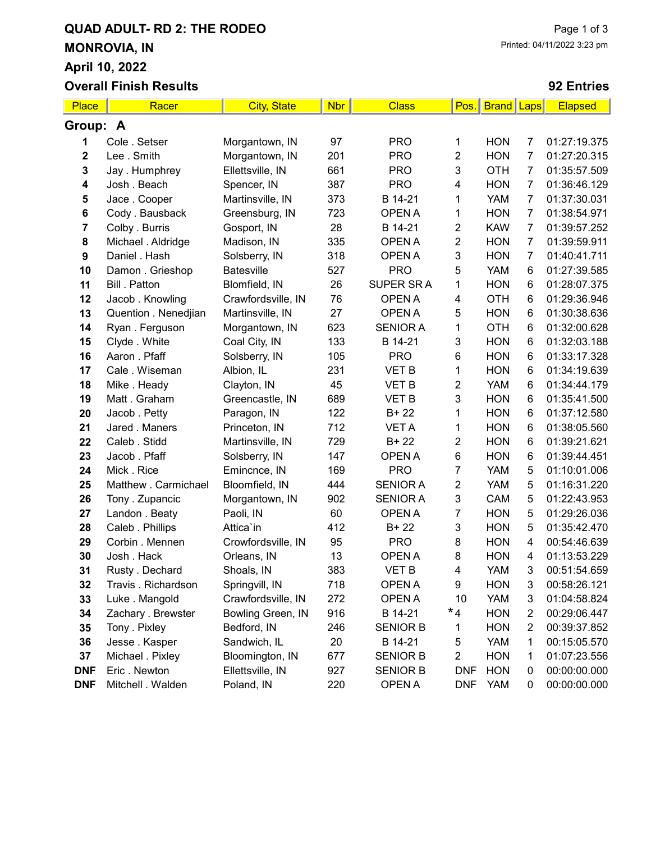## QUAD ADULT- RD 2: THE RODEO MONROVIA, IN April 10, 2022 Overall Finish Results

### 92 Entries

| Place       | Racer                | <b>City, State</b> | <b>Nbr</b> | <b>Class</b>    | Pos.           | <b>Brand</b> Laps |                         | <b>Elapsed</b> |
|-------------|----------------------|--------------------|------------|-----------------|----------------|-------------------|-------------------------|----------------|
| Group: A    |                      |                    |            |                 |                |                   |                         |                |
| 1           | Cole . Setser        | Morgantown, IN     | 97         | <b>PRO</b>      | 1              | <b>HON</b>        | 7                       | 01:27:19.375   |
| $\mathbf 2$ | Lee . Smith          | Morgantown, IN     | 201        | <b>PRO</b>      | $\overline{2}$ | <b>HON</b>        | $\overline{7}$          | 01:27:20.315   |
| 3           | Jay. Humphrey        | Ellettsville, IN   | 661        | <b>PRO</b>      | 3              | <b>OTH</b>        | 7                       | 01:35:57.509   |
| 4           | Josh . Beach         | Spencer, IN        | 387        | <b>PRO</b>      | 4              | <b>HON</b>        | 7                       | 01:36:46.129   |
| 5           | Jace . Cooper        | Martinsville, IN   | 373        | B 14-21         | 1              | <b>YAM</b>        | $\overline{7}$          | 01:37:30.031   |
| 6           | Cody . Bausback      | Greensburg, IN     | 723        | OPEN A          | 1              | <b>HON</b>        | $\overline{7}$          | 01:38:54.971   |
| 7           | Colby . Burris       | Gosport, IN        | 28         | B 14-21         | $\overline{2}$ | <b>KAW</b>        | $\overline{7}$          | 01:39:57.252   |
| 8           | Michael . Aldridge   | Madison, IN        | 335        | <b>OPEN A</b>   | $\overline{2}$ | <b>HON</b>        | $\overline{7}$          | 01:39:59.911   |
| 9           | Daniel . Hash        | Solsberry, IN      | 318        | <b>OPEN A</b>   | 3              | <b>HON</b>        | $\overline{7}$          | 01:40:41.711   |
| 10          | Damon. Grieshop      | Batesville         | 527        | <b>PRO</b>      | 5              | <b>YAM</b>        | 6                       | 01:27:39.585   |
| 11          | Bill . Patton        | Blomfield, IN      | 26         | SUPER SR A      | 1              | <b>HON</b>        | 6                       | 01:28:07.375   |
| 12          | Jacob. Knowling      | Crawfordsville, IN | 76         | <b>OPEN A</b>   | 4              | <b>OTH</b>        | 6                       | 01:29:36.946   |
| 13          | Quention . Nenedjian | Martinsville, IN   | 27         | <b>OPEN A</b>   | 5              | <b>HON</b>        | 6                       | 01:30:38.636   |
| 14          | Ryan. Ferguson       | Morgantown, IN     | 623        | <b>SENIOR A</b> | 1              | <b>OTH</b>        | 6                       | 01:32:00.628   |
| 15          | Clyde. White         | Coal City, IN      | 133        | B 14-21         | 3              | <b>HON</b>        | 6                       | 01:32:03.188   |
| 16          | Aaron . Pfaff        | Solsberry, IN      | 105        | <b>PRO</b>      | 6              | <b>HON</b>        | 6                       | 01:33:17.328   |
| 17          | Cale . Wiseman       | Albion, IL         | 231        | <b>VET B</b>    | 1              | <b>HON</b>        | 6                       | 01:34:19.639   |
| 18          | Mike . Heady         | Clayton, IN        | 45         | <b>VET B</b>    | $\overline{2}$ | <b>YAM</b>        | 6                       | 01:34:44.179   |
| 19          | Matt. Graham         | Greencastle, IN    | 689        | <b>VET B</b>    | 3              | <b>HON</b>        | 6                       | 01:35:41.500   |
| 20          | Jacob . Petty        | Paragon, IN        | 122        | $B + 22$        | 1              | <b>HON</b>        | 6                       | 01:37:12.580   |
| 21          | Jared . Maners       | Princeton, IN      | 712        | <b>VET A</b>    | 1              | <b>HON</b>        | 6                       | 01:38:05.560   |
| 22          | Caleb . Stidd        | Martinsville, IN   | 729        | $B + 22$        | 2              | <b>HON</b>        | 6                       | 01:39:21.621   |
| 23          | Jacob. Pfaff         | Solsberry, IN      | 147        | <b>OPEN A</b>   | 6              | <b>HON</b>        | 6                       | 01:39:44.451   |
| 24          | Mick. Rice           | Emincnce, IN       | 169        | <b>PRO</b>      | $\overline{7}$ | YAM               | 5                       | 01:10:01.006   |
| 25          | Matthew . Carmichael | Bloomfield, IN     | 444        | <b>SENIOR A</b> | $\overline{2}$ | <b>YAM</b>        | 5                       | 01:16:31.220   |
| 26          | Tony . Zupancic      | Morgantown, IN     | 902        | <b>SENIOR A</b> | 3              | CAM               | 5                       | 01:22:43.953   |
| 27          | Landon . Beaty       | Paoli, IN          | 60         | <b>OPEN A</b>   | 7              | <b>HON</b>        | 5                       | 01:29:26.036   |
| 28          | Caleb . Phillips     | Attica'in          | 412        | $B + 22$        | 3              | <b>HON</b>        | 5                       | 01:35:42.470   |
| 29          | Corbin. Mennen       | Crowfordsville, IN | 95         | <b>PRO</b>      | 8              | <b>HON</b>        | 4                       | 00:54:46.639   |
| 30          | Josh . Hack          | Orleans, IN        | 13         | <b>OPEN A</b>   | 8              | <b>HON</b>        | 4                       | 01:13:53.229   |
| 31          | Rusty . Dechard      | Shoals, IN         | 383        | <b>VET B</b>    | 4              | <b>YAM</b>        | 3                       | 00:51:54.659   |
| 32          | Travis . Richardson  | Springvill, IN     | 718        | OPEN A          | 9              | <b>HON</b>        | 3                       | 00:58:26.121   |
| 33          | Luke . Mangold       | Crawfordsville, IN | 272        | <b>OPEN A</b>   | 10             | <b>YAM</b>        | 3                       | 01:04:58.824   |
| 34          | Zachary . Brewster   | Bowling Green, IN  | 916        | B 14-21         | $*_{4}$        | <b>HON</b>        | $\overline{c}$          | 00:29:06.447   |
| 35          | Tony . Pixley        | Bedford, IN        | 246        | <b>SENIOR B</b> | 1              | <b>HON</b>        | $\overline{\mathbf{c}}$ | 00:39:37.852   |
| 36          | Jesse. Kasper        | Sandwich, IL       | 20         | B 14-21         | 5              | <b>YAM</b>        | 1                       | 00:15:05.570   |
| 37          | Michael . Pixley     | Bloomington, IN    | 677        | <b>SENIOR B</b> | 2              | <b>HON</b>        | 1                       | 01:07:23.556   |
| <b>DNF</b>  | Eric. Newton         | Ellettsville, IN   | 927        | <b>SENIOR B</b> | <b>DNF</b>     | <b>HON</b>        | 0                       | 00:00:00.000   |
| <b>DNF</b>  | Mitchell . Walden    | Poland, IN         | 220        | OPEN A          | <b>DNF</b>     | <b>YAM</b>        | 0                       | 00:00:00.000   |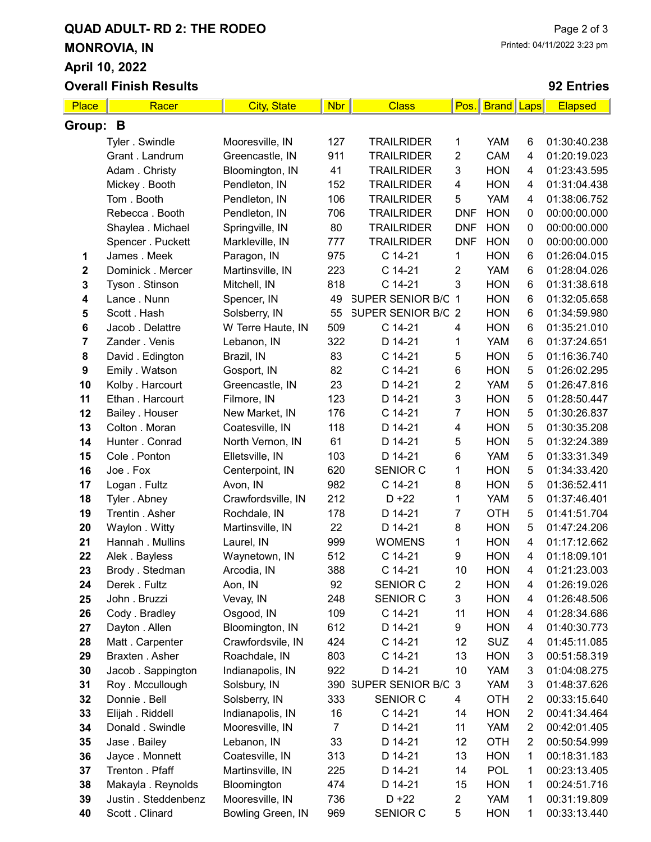# QUAD ADULT- RD 2: THE RODEO MONROVIA, IN April 10, 2022

Overall Finish Results

#### 92 Entries

| Place       | Racer                | <b>City, State</b> | <b>Nbr</b>     | <b>Class</b>         | Pos.                    | <b>Brand</b> Laps |                | <b>Elapsed</b> |
|-------------|----------------------|--------------------|----------------|----------------------|-------------------------|-------------------|----------------|----------------|
| Group: B    |                      |                    |                |                      |                         |                   |                |                |
|             | Tyler . Swindle      | Mooresville, IN    | 127            | <b>TRAILRIDER</b>    | 1                       | <b>YAM</b>        | 6              | 01:30:40.238   |
|             | Grant. Landrum       | Greencastle, IN    | 911            | <b>TRAILRIDER</b>    | $\overline{c}$          | CAM               | 4              | 01:20:19.023   |
|             | Adam. Christy        | Bloomington, IN    | 41             | <b>TRAILRIDER</b>    | 3                       | <b>HON</b>        | 4              | 01:23:43.595   |
|             | Mickey . Booth       | Pendleton, IN      | 152            | <b>TRAILRIDER</b>    | 4                       | <b>HON</b>        | 4              | 01:31:04.438   |
|             | Tom. Booth           | Pendleton, IN      | 106            | <b>TRAILRIDER</b>    | 5                       | <b>YAM</b>        | 4              | 01:38:06.752   |
|             | Rebecca. Booth       | Pendleton, IN      | 706            | <b>TRAILRIDER</b>    | <b>DNF</b>              | <b>HON</b>        | 0              | 00:00:00.000   |
|             | Shaylea . Michael    | Springville, IN    | 80             | <b>TRAILRIDER</b>    | <b>DNF</b>              | <b>HON</b>        | $\pmb{0}$      | 00:00:00.000   |
|             | Spencer . Puckett    | Markleville, IN    | 777            | <b>TRAILRIDER</b>    | <b>DNF</b>              | <b>HON</b>        | $\pmb{0}$      | 00:00:00.000   |
| 1           | James . Meek         | Paragon, IN        | 975            | C 14-21              | 1                       | <b>HON</b>        | 6              | 01:26:04.015   |
| $\mathbf 2$ | Dominick . Mercer    | Martinsville, IN   | 223            | C 14-21              | $\overline{2}$          | <b>YAM</b>        | 6              | 01:28:04.026   |
| 3           | Tyson . Stinson      | Mitchell, IN       | 818            | C 14-21              | 3                       | <b>HON</b>        | 6              | 01:31:38.618   |
| 4           | Lance . Nunn         | Spencer, IN        | 49             | SUPER SENIOR B/C 1   |                         | <b>HON</b>        | 6              | 01:32:05.658   |
| 5           | Scott . Hash         | Solsberry, IN      | 55             | SUPER SENIOR B/C 2   |                         | <b>HON</b>        | 6              | 01:34:59.980   |
| 6           | Jacob . Delattre     | W Terre Haute, IN  | 509            | C 14-21              | 4                       | <b>HON</b>        | 6              | 01:35:21.010   |
| 7           | Zander . Venis       | Lebanon, IN        | 322            | D 14-21              | 1                       | <b>YAM</b>        | 6              | 01:37:24.651   |
| 8           | David . Edington     | Brazil, IN         | 83             | C 14-21              | 5                       | <b>HON</b>        | 5              | 01:16:36.740   |
| 9           | Emily . Watson       | Gosport, IN        | 82             | C 14-21              | $\,6$                   | <b>HON</b>        | 5              | 01:26:02.295   |
| 10          | Kolby . Harcourt     | Greencastle, IN    | 23             | D 14-21              | $\overline{2}$          | <b>YAM</b>        | 5              | 01:26:47.816   |
| 11          | Ethan . Harcourt     | Filmore, IN        | 123            | D 14-21              | 3                       | <b>HON</b>        | 5              | 01:28:50.447   |
| 12          | Bailey . Houser      | New Market, IN     | 176            | C 14-21              | $\overline{7}$          | <b>HON</b>        | 5              | 01:30:26.837   |
| 13          | Colton . Moran       | Coatesville, IN    | 118            | D 14-21              | 4                       | <b>HON</b>        | 5              | 01:30:35.208   |
| 14          | Hunter . Conrad      | North Vernon, IN   | 61             | D 14-21              | 5                       | <b>HON</b>        | 5              | 01:32:24.389   |
| 15          | Cole . Ponton        | Elletsville, IN    | 103            | D 14-21              | $\,6$                   | <b>YAM</b>        | 5              | 01:33:31.349   |
| 16          | Joe.Fox              | Centerpoint, IN    | 620            | SENIOR C             | 1                       | <b>HON</b>        | 5              | 01:34:33.420   |
| 17          | Logan . Fultz        | Avon, IN           | 982            | C 14-21              | 8                       | <b>HON</b>        | 5              | 01:36:52.411   |
| 18          | Tyler . Abney        | Crawfordsville, IN | 212            | $D + 22$             | 1                       | <b>YAM</b>        | 5              | 01:37:46.401   |
| 19          | Trentin . Asher      | Rochdale, IN       | 178            | D 14-21              | $\overline{7}$          | <b>OTH</b>        | 5              | 01:41:51.704   |
| 20          | Waylon . Witty       | Martinsville, IN   | 22             | D 14-21              | 8                       | <b>HON</b>        | 5              | 01:47:24.206   |
| 21          | Hannah . Mullins     | Laurel, IN         | 999            | <b>WOMENS</b>        | 1                       | <b>HON</b>        | 4              | 01:17:12.662   |
| 22          | Alek . Bayless       | Waynetown, IN      | 512            | C 14-21              | 9                       | <b>HON</b>        | 4              | 01:18:09.101   |
| 23          | Brody . Stedman      | Arcodia, IN        | 388            | C 14-21              | 10                      | <b>HON</b>        | 4              | 01:21:23.003   |
| 24          | Derek . Fultz        | Aon, IN            | 92             | <b>SENIOR C</b>      | $\overline{2}$          | <b>HON</b>        | 4              | 01:26:19.026   |
| 25          | John . Bruzzi        | Vevay, IN          | 248            | SENIOR C             | 3                       | <b>HON</b>        | 4              | 01:26:48.506   |
| 26          | Cody . Bradley       | Osgood, IN         | 109            | C 14-21              | 11                      | <b>HON</b>        | 4              | 01:28:34.686   |
| 27          | Dayton . Allen       | Bloomington, IN    | 612            | D 14-21              | 9                       | <b>HON</b>        | 4              | 01:40:30.773   |
| 28          | Matt. Carpenter      | Crawfordsvile, IN  | 424            | C 14-21              | 12                      | <b>SUZ</b>        | 4              | 01:45:11.085   |
| 29          | Braxten . Asher      | Roachdale, IN      | 803            | C 14-21              | 13                      | <b>HON</b>        | 3              | 00:51:58.319   |
| 30          | Jacob. Sappington    | Indianapolis, IN   | 922            | D 14-21              | 10                      | <b>YAM</b>        | 3              | 01:04:08.275   |
| 31          | Roy. Mccullough      | Solsbury, IN       |                | 390 SUPER SENIOR B/C | 3                       | YAM               | 3              | 01:48:37.626   |
| 32          | Donnie . Bell        | Solsberry, IN      | 333            | SENIOR C             | 4                       | OTH               | $\overline{c}$ | 00:33:15.640   |
| 33          | Elijah . Riddell     | Indianapolis, IN   | 16             | C 14-21              | 14                      | <b>HON</b>        | $\overline{2}$ | 00:41:34.464   |
| 34          | Donald . Swindle     | Mooresville, IN    | $\overline{7}$ | D 14-21              | 11                      | <b>YAM</b>        | $\overline{2}$ | 00:42:01.405   |
| 35          | Jase . Bailey        | Lebanon, IN        | 33             | D 14-21              | 12                      | OTH               | 2              | 00:50:54.999   |
| 36          | Jayce . Monnett      | Coatesville, IN    | 313            | D 14-21              | 13                      | <b>HON</b>        | 1              | 00:18:31.183   |
| 37          | Trenton . Pfaff      | Martinsville, IN   | 225            | D 14-21              | 14                      | <b>POL</b>        | 1              | 00:23:13.405   |
| 38          | Makayla . Reynolds   | Bloomington        | 474            | D 14-21              | 15                      | <b>HON</b>        | 1              | 00:24:51.716   |
| 39          | Justin . Steddenbenz | Mooresville, IN    | 736            | $D + 22$             | $\overline{\mathbf{c}}$ | YAM               | 1              | 00:31:19.809   |
| 40          | Scott . Clinard      | Bowling Green, IN  | 969            | SENIOR C             | 5                       | <b>HON</b>        | 1              | 00:33:13.440   |